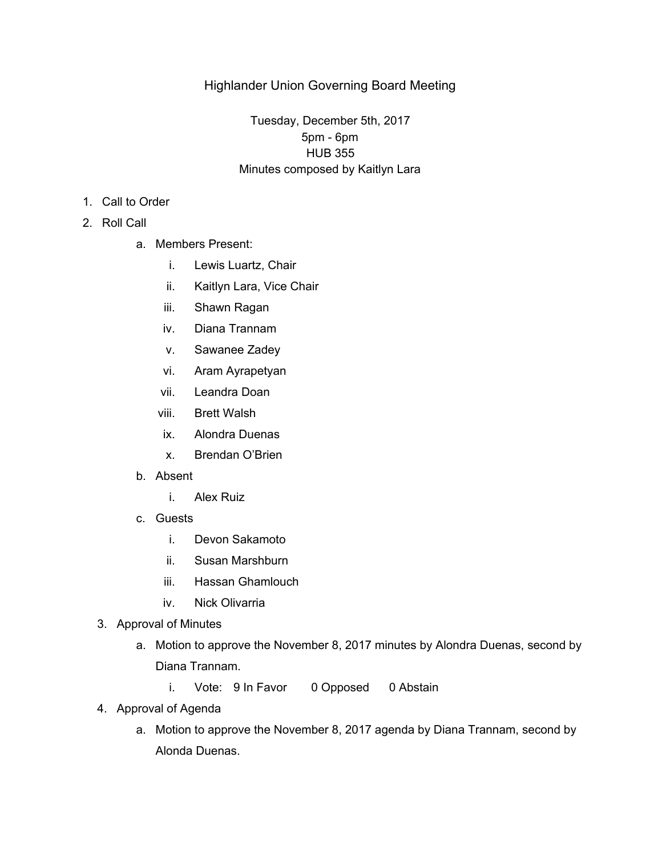## Highlander Union Governing Board Meeting

## Tuesday, December 5th, 2017 5pm - 6pm HUB 355 Minutes composed by Kaitlyn Lara

- 1. Call to Order
- 2. Roll Call
	- a. Members Present:
		- i. Lewis Luartz, Chair
		- ii. Kaitlyn Lara, Vice Chair
		- iii. Shawn Ragan
		- iv. Diana Trannam
		- v. Sawanee Zadey
		- vi. Aram Ayrapetyan
		- vii. Leandra Doan
		- viii. Brett Walsh
		- ix. Alondra Duenas
		- x. Brendan O'Brien
	- b. Absent
		- i. Alex Ruiz
	- c. Guests
		- i. Devon Sakamoto
		- ii. Susan Marshburn
		- iii. Hassan Ghamlouch
		- iv. Nick Olivarria
	- 3. Approval of Minutes
		- a. Motion to approve the November 8, 2017 minutes by Alondra Duenas, second by Diana Trannam.
			- i. Vote: 9 In Favor 0 Opposed 0 Abstain
	- 4. Approval of Agenda
		- a. Motion to approve the November 8, 2017 agenda by Diana Trannam, second by Alonda Duenas.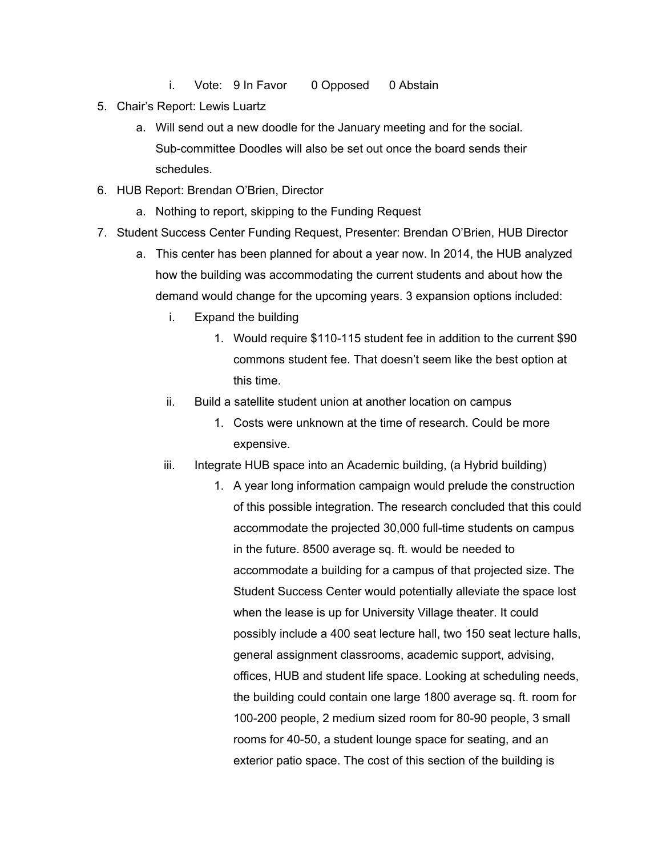- i. Vote: 9 In Favor 0 Opposed 0 Abstain
- 5. Chair's Report: Lewis Luartz
	- a. Will send out a new doodle for the January meeting and for the social. Sub-committee Doodles will also be set out once the board sends their schedules.
- 6. HUB Report: Brendan O'Brien, Director
	- a. Nothing to report, skipping to the Funding Request
- 7. Student Success Center Funding Request, Presenter: Brendan O'Brien, HUB Director
	- a. This center has been planned for about a year now. In 2014, the HUB analyzed how the building was accommodating the current students and about how the demand would change for the upcoming years. 3 expansion options included:
		- i. Expand the building
			- 1. Would require \$110-115 student fee in addition to the current \$90 commons student fee. That doesn't seem like the best option at this time.
		- ii. Build a satellite student union at another location on campus
			- 1. Costs were unknown at the time of research. Could be more expensive.
		- iii. Integrate HUB space into an Academic building, (a Hybrid building)
			- 1. A year long information campaign would prelude the construction of this possible integration. The research concluded that this could accommodate the projected 30,000 full-time students on campus in the future. 8500 average sq. ft. would be needed to accommodate a building for a campus of that projected size. The Student Success Center would potentially alleviate the space lost when the lease is up for University Village theater. It could possibly include a 400 seat lecture hall, two 150 seat lecture halls, general assignment classrooms, academic support, advising, offices, HUB and student life space. Looking at scheduling needs, the building could contain one large 1800 average sq. ft. room for 100-200 people, 2 medium sized room for 80-90 people, 3 small rooms for 40-50, a student lounge space for seating, and an exterior patio space. The cost of this section of the building is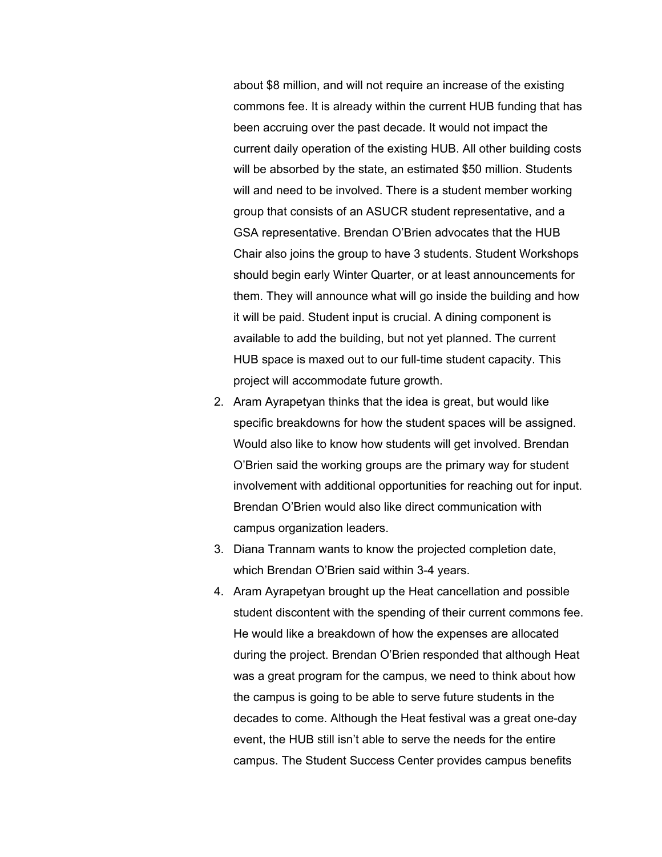about \$8 million, and will not require an increase of the existing commons fee. It is already within the current HUB funding that has been accruing over the past decade. It would not impact the current daily operation of the existing HUB. All other building costs will be absorbed by the state, an estimated \$50 million. Students will and need to be involved. There is a student member working group that consists of an ASUCR student representative, and a GSA representative. Brendan O'Brien advocates that the HUB Chair also joins the group to have 3 students. Student Workshops should begin early Winter Quarter, or at least announcements for them. They will announce what will go inside the building and how it will be paid. Student input is crucial. A dining component is available to add the building, but not yet planned. The current HUB space is maxed out to our full-time student capacity. This project will accommodate future growth.

- 2. Aram Ayrapetyan thinks that the idea is great, but would like specific breakdowns for how the student spaces will be assigned. Would also like to know how students will get involved. Brendan O'Brien said the working groups are the primary way for student involvement with additional opportunities for reaching out for input. Brendan O'Brien would also like direct communication with campus organization leaders.
- 3. Diana Trannam wants to know the projected completion date, which Brendan O'Brien said within 3-4 years.
- 4. Aram Ayrapetyan brought up the Heat cancellation and possible student discontent with the spending of their current commons fee. He would like a breakdown of how the expenses are allocated during the project. Brendan O'Brien responded that although Heat was a great program for the campus, we need to think about how the campus is going to be able to serve future students in the decades to come. Although the Heat festival was a great one-day event, the HUB still isn't able to serve the needs for the entire campus. The Student Success Center provides campus benefits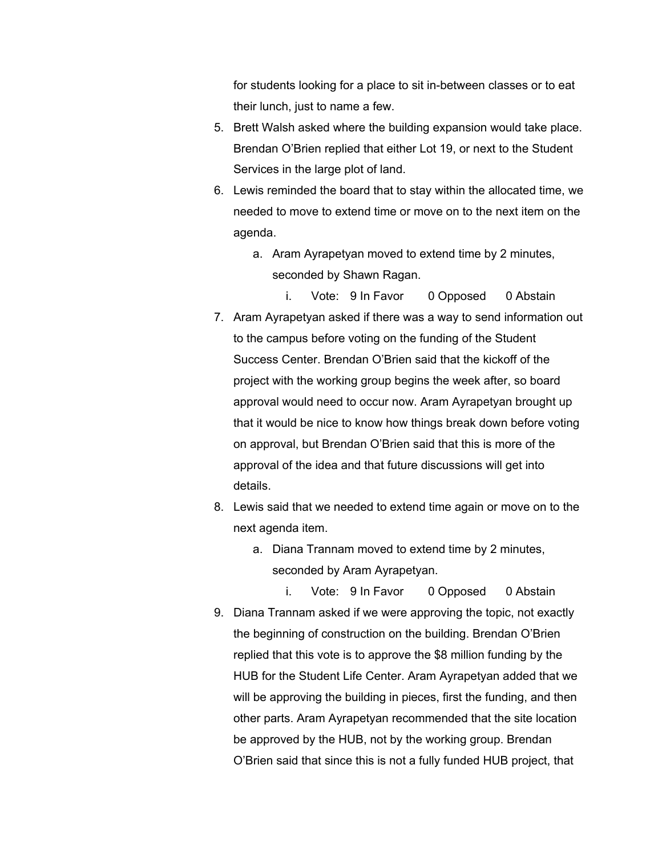for students looking for a place to sit in-between classes or to eat their lunch, just to name a few.

- 5. Brett Walsh asked where the building expansion would take place. Brendan O'Brien replied that either Lot 19, or next to the Student Services in the large plot of land.
- 6. Lewis reminded the board that to stay within the allocated time, we needed to move to extend time or move on to the next item on the agenda.
	- a. Aram Ayrapetyan moved to extend time by 2 minutes, seconded by Shawn Ragan.
- i. Vote: 9 In Favor 0 Opposed 0 Abstain 7. Aram Ayrapetyan asked if there was a way to send information out to the campus before voting on the funding of the Student Success Center. Brendan O'Brien said that the kickoff of the project with the working group begins the week after, so board approval would need to occur now. Aram Ayrapetyan brought up that it would be nice to know how things break down before voting on approval, but Brendan O'Brien said that this is more of the approval of the idea and that future discussions will get into details.
- 8. Lewis said that we needed to extend time again or move on to the next agenda item.
	- a. Diana Trannam moved to extend time by 2 minutes, seconded by Aram Ayrapetyan.
- i. Vote: 9 In Favor 0 Opposed 0 Abstain 9. Diana Trannam asked if we were approving the topic, not exactly the beginning of construction on the building. Brendan O'Brien replied that this vote is to approve the \$8 million funding by the HUB for the Student Life Center. Aram Ayrapetyan added that we will be approving the building in pieces, first the funding, and then other parts. Aram Ayrapetyan recommended that the site location be approved by the HUB, not by the working group. Brendan O'Brien said that since this is not a fully funded HUB project, that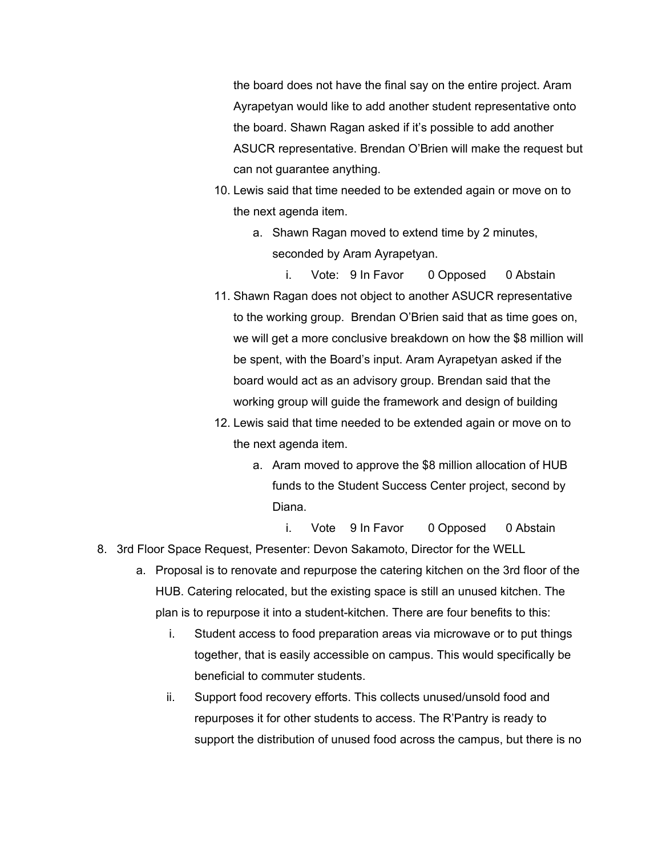the board does not have the final say on the entire project. Aram Ayrapetyan would like to add another student representative onto the board. Shawn Ragan asked if it's possible to add another ASUCR representative. Brendan O'Brien will make the request but can not guarantee anything.

- 10. Lewis said that time needed to be extended again or move on to the next agenda item.
	- a. Shawn Ragan moved to extend time by 2 minutes, seconded by Aram Ayrapetyan.
- i. Vote: 9 In Favor 0 Opposed 0 Abstain 11. Shawn Ragan does not object to another ASUCR representative to the working group. Brendan O'Brien said that as time goes on, we will get a more conclusive breakdown on how the \$8 million will be spent, with the Board's input. Aram Ayrapetyan asked if the board would act as an advisory group. Brendan said that the working group will guide the framework and design of building
- 12. Lewis said that time needed to be extended again or move on to the next agenda item.
	- a. Aram moved to approve the \$8 million allocation of HUB funds to the Student Success Center project, second by Diana.

i. Vote 9 In Favor 0 Opposed 0 Abstain 8. 3rd Floor Space Request, Presenter: Devon Sakamoto, Director for the WELL

- a. Proposal is to renovate and repurpose the catering kitchen on the 3rd floor of the HUB. Catering relocated, but the existing space is still an unused kitchen. The plan is to repurpose it into a student-kitchen. There are four benefits to this:
	- i. Student access to food preparation areas via microwave or to put things together, that is easily accessible on campus. This would specifically be beneficial to commuter students.
	- ii. Support food recovery efforts. This collects unused/unsold food and repurposes it for other students to access. The R'Pantry is ready to support the distribution of unused food across the campus, but there is no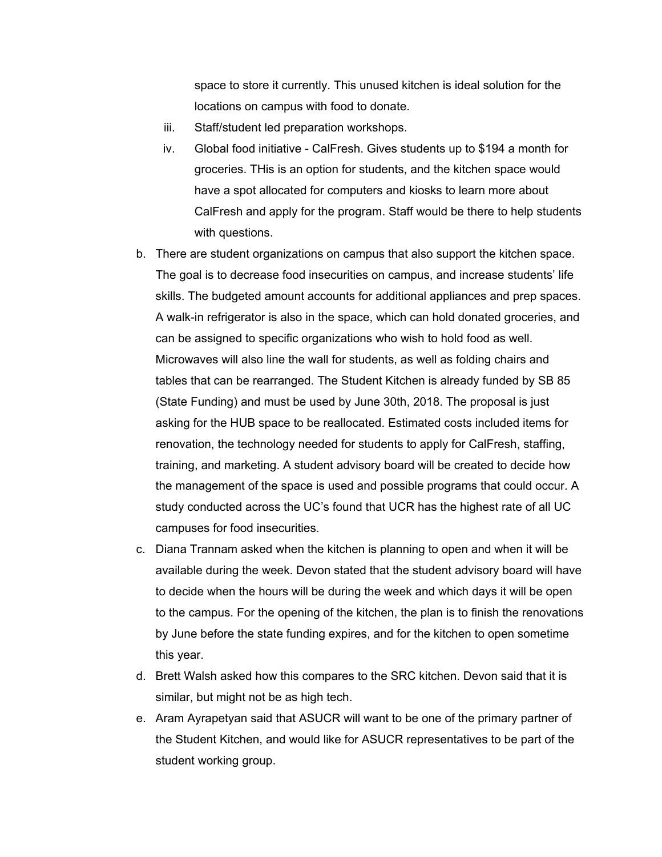space to store it currently. This unused kitchen is ideal solution for the locations on campus with food to donate.

- iii. Staff/student led preparation workshops.
- iv. Global food initiative CalFresh. Gives students up to \$194 a month for groceries. THis is an option for students, and the kitchen space would have a spot allocated for computers and kiosks to learn more about CalFresh and apply for the program. Staff would be there to help students with questions.
- b. There are student organizations on campus that also support the kitchen space. The goal is to decrease food insecurities on campus, and increase students' life skills. The budgeted amount accounts for additional appliances and prep spaces. A walk-in refrigerator is also in the space, which can hold donated groceries, and can be assigned to specific organizations who wish to hold food as well. Microwaves will also line the wall for students, as well as folding chairs and tables that can be rearranged. The Student Kitchen is already funded by SB 85 (State Funding) and must be used by June 30th, 2018. The proposal is just asking for the HUB space to be reallocated. Estimated costs included items for renovation, the technology needed for students to apply for CalFresh, staffing, training, and marketing. A student advisory board will be created to decide how the management of the space is used and possible programs that could occur. A study conducted across the UC's found that UCR has the highest rate of all UC campuses for food insecurities.
- c. Diana Trannam asked when the kitchen is planning to open and when it will be available during the week. Devon stated that the student advisory board will have to decide when the hours will be during the week and which days it will be open to the campus. For the opening of the kitchen, the plan is to finish the renovations by June before the state funding expires, and for the kitchen to open sometime this year.
- d. Brett Walsh asked how this compares to the SRC kitchen. Devon said that it is similar, but might not be as high tech.
- e. Aram Ayrapetyan said that ASUCR will want to be one of the primary partner of the Student Kitchen, and would like for ASUCR representatives to be part of the student working group.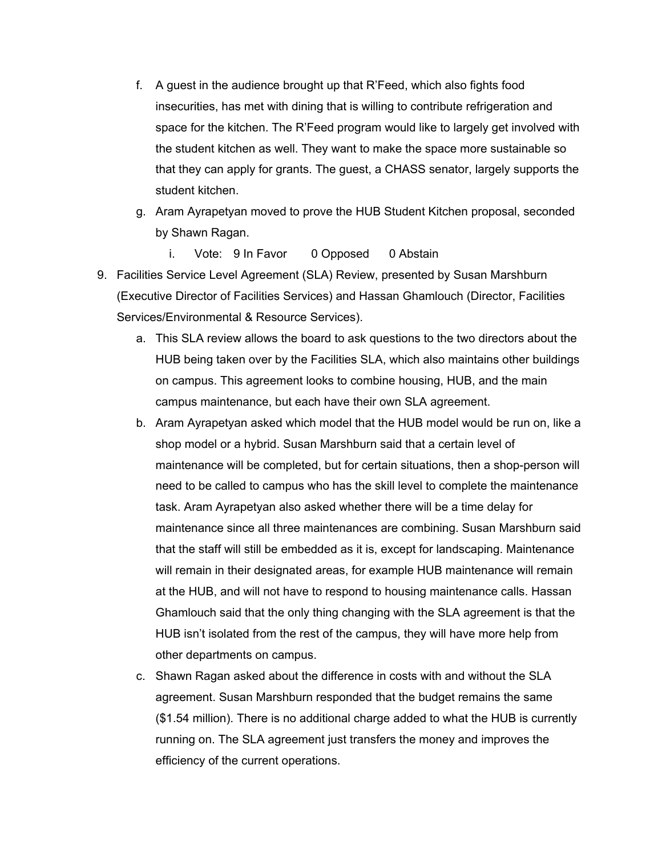- f. A guest in the audience brought up that R'Feed, which also fights food insecurities, has met with dining that is willing to contribute refrigeration and space for the kitchen. The R'Feed program would like to largely get involved with the student kitchen as well. They want to make the space more sustainable so that they can apply for grants. The guest, a CHASS senator, largely supports the student kitchen.
- g. Aram Ayrapetyan moved to prove the HUB Student Kitchen proposal, seconded by Shawn Ragan.
	- i. Vote: 9 In Favor 0 Opposed 0 Abstain
- 9. Facilities Service Level Agreement (SLA) Review, presented by Susan Marshburn (Executive Director of Facilities Services) and Hassan Ghamlouch (Director, Facilities Services/Environmental & Resource Services).
	- a. This SLA review allows the board to ask questions to the two directors about the HUB being taken over by the Facilities SLA, which also maintains other buildings on campus. This agreement looks to combine housing, HUB, and the main campus maintenance, but each have their own SLA agreement.
	- b. Aram Ayrapetyan asked which model that the HUB model would be run on, like a shop model or a hybrid. Susan Marshburn said that a certain level of maintenance will be completed, but for certain situations, then a shop-person will need to be called to campus who has the skill level to complete the maintenance task. Aram Ayrapetyan also asked whether there will be a time delay for maintenance since all three maintenances are combining. Susan Marshburn said that the staff will still be embedded as it is, except for landscaping. Maintenance will remain in their designated areas, for example HUB maintenance will remain at the HUB, and will not have to respond to housing maintenance calls. Hassan Ghamlouch said that the only thing changing with the SLA agreement is that the HUB isn't isolated from the rest of the campus, they will have more help from other departments on campus.
	- c. Shawn Ragan asked about the difference in costs with and without the SLA agreement. Susan Marshburn responded that the budget remains the same (\$1.54 million). There is no additional charge added to what the HUB is currently running on. The SLA agreement just transfers the money and improves the efficiency of the current operations.